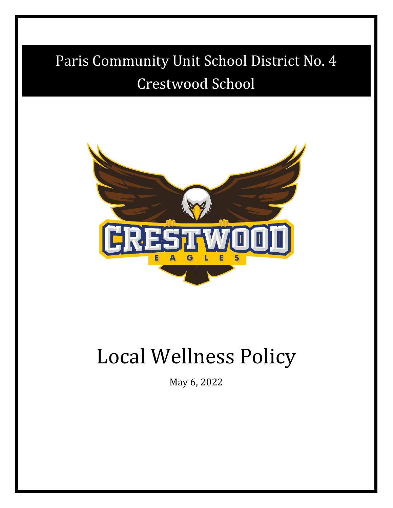# Paris Community Unit School District No. 4 Crestwood School



# Local Wellness Policy

May 6, 2022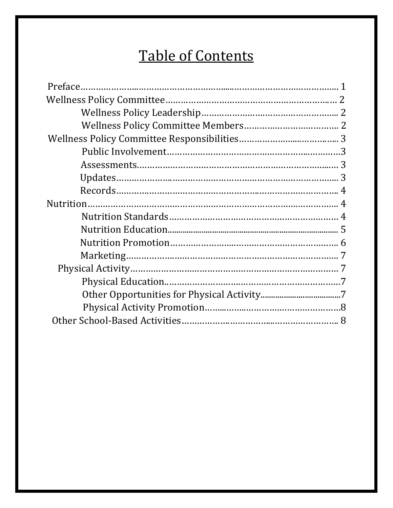## Table of Contents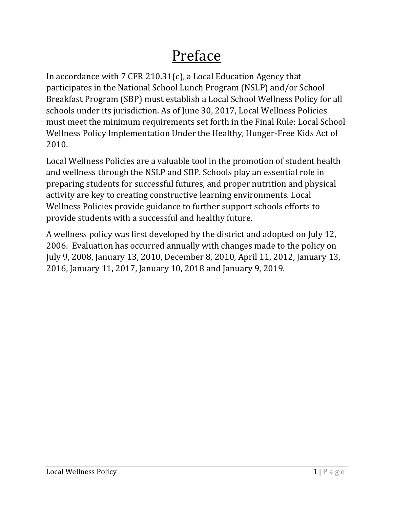## Preface

In accordance with 7 CFR 210.31(c), a Local Education Agency that participates in the National School Lunch Program (NSLP) and/or School Breakfast Program (SBP) must establish a Local School Wellness Policy for all schools under its jurisdiction. As of June 30, 2017, Local Wellness Policies must meet the minimum requirements set forth in the Final Rule: Local School Wellness Policy Implementation Under the Healthy, Hunger-Free Kids Act of 2010.

Local Wellness Policies are a valuable tool in the promotion of student health and wellness through the NSLP and SBP. Schools play an essential role in preparing students for successful futures, and proper nutrition and physical activity are key to creating constructive learning environments. Local Wellness Policies provide guidance to further support schools efforts to provide students with a successful and healthy future.

A wellness policy was first developed by the district and adopted on July 12, 2006. Evaluation has occurred annually with changes made to the policy on July 9, 2008, January 13, 2010, December 8, 2010, April 11, 2012, January 13, 2016, January 11, 2017, January 10, 2018 and January 9, 2019.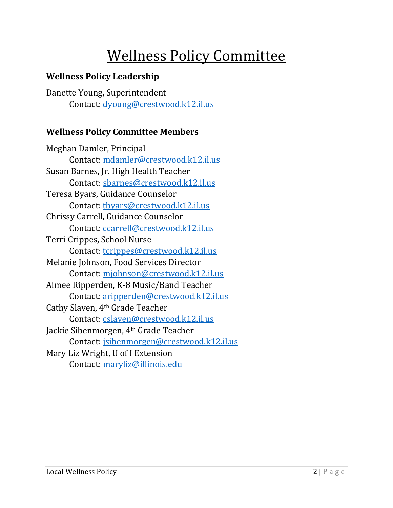## Wellness Policy Committee

#### **Wellness Policy Leadership**

Danette Young, Superintendent Contact: [dyoung@crestwood.k12.il.us](mailto:dyoung@crestwood.k12.il.us)

#### **Wellness Policy Committee Members**

Meghan Damler, Principal Contact: [mdamler@crestwood.k12.il.us](mailto:mdamler@crestwood.k12.il.us) Susan Barnes, Jr. High Health Teacher Contact: [sbarnes@crestwood.k12.il.us](mailto:sbarnes@crestwood.k12.il.us) Teresa Byars, Guidance Counselor Contact: [tbyars@crestwood.k12.il.us](mailto:tbyars@crestwood.k12.il.us) Chrissy Carrell, Guidance Counselor Contact: [ccarrell@crestwood.k12.il.us](mailto:ccarrell@crestwood.k12.il.us) Terri Crippes, School Nurse Contact: [tcrippes@crestwood.k12.il.us](mailto:tcrippes@crestwood.k12.il.us) Melanie Johnson, Food Services Director Contact: [mjohnson@crestwood.k12.il.us](mailto:mjohnson@crestwood.k12.il.us) Aimee Ripperden, K-8 Music/Band Teacher Contact: [aripperden@crestwood.k12.il.us](mailto:aripperden@crestwood.k12.il.us) Cathy Slaven, 4th Grade Teacher Contact: [cslaven@crestwood.k12.il.us](mailto:cslaven@crestwood.k12.il.us) Jackie Sibenmorgen, 4th Grade Teacher Contact: [jsibenmorgen@crestwood.k12.il.us](mailto:jsibenmorgen@crestwood.k12.il.us) Mary Liz Wright, U of I Extension Contact: [maryliz@illinois.edu](mailto:maryliz@illinois.edu)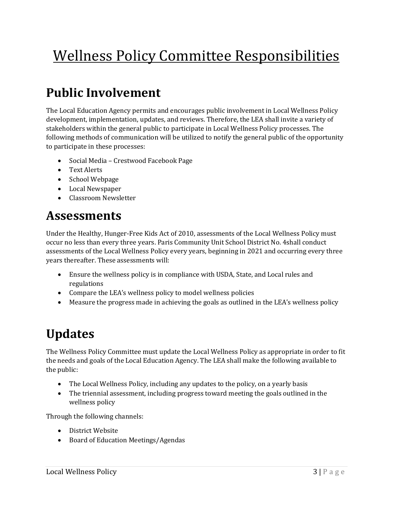## Wellness Policy Committee Responsibilities

## **Public Involvement**

The Local Education Agency permits and encourages public involvement in Local Wellness Policy development, implementation, updates, and reviews. Therefore, the LEA shall invite a variety of stakeholders within the general public to participate in Local Wellness Policy processes. The following methods of communication will be utilized to notify the general public of the opportunity to participate in these processes:

- Social Media Crestwood Facebook Page
- Text Alerts
- School Webpage
- Local Newspaper
- Classroom Newsletter

### **Assessments**

Under the Healthy, Hunger-Free Kids Act of 2010, assessments of the Local Wellness Policy must occur no less than every three years. Paris Community Unit School District No. 4shall conduct assessments of the Local Wellness Policy every years, beginning in 2021 and occurring every three years thereafter. These assessments will:

- Ensure the wellness policy is in compliance with USDA, State, and Local rules and regulations
- Compare the LEA's wellness policy to model wellness policies
- Measure the progress made in achieving the goals as outlined in the LEA's wellness policy

## **Updates**

The Wellness Policy Committee must update the Local Wellness Policy as appropriate in order to fit the needs and goals of the Local Education Agency. The LEA shall make the following available to the public:

- The Local Wellness Policy, including any updates to the policy, on a yearly basis
- The triennial assessment, including progress toward meeting the goals outlined in the wellness policy

Through the following channels:

- District Website
- Board of Education Meetings/Agendas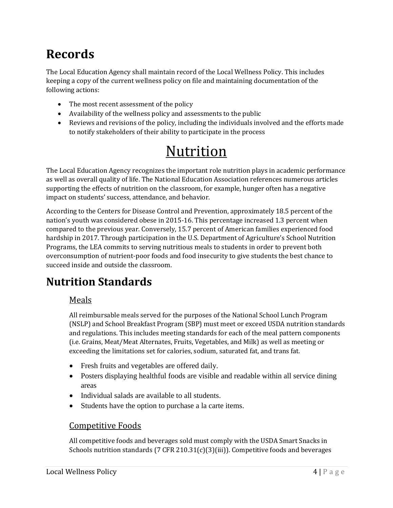## **Records**

The Local Education Agency shall maintain record of the Local Wellness Policy. This includes keeping a copy of the current wellness policy on file and maintaining documentation of the following actions:

- The most recent assessment of the policy
- Availability of the wellness policy and assessments to the public
- Reviews and revisions of the policy, including the individuals involved and the efforts made to notify stakeholders of their ability to participate in the process

## Nutrition

The Local Education Agency recognizes the important role nutrition plays in academic performance as well as overall quality of life. The National Education Association references numerous articles supporting the effects of nutrition on the classroom, for example, hunger often has a negative impact on students' success, attendance, and behavior.

According to the Centers for Disease Control and Prevention, approximately 18.5 percent of the nation's youth was considered obese in 2015-16. This percentage increased 1.3 percent when compared to the previous year. Conversely, 15.7 percent of American families experienced food hardship in 2017. Through participation in the U.S. Department of Agriculture's School Nutrition Programs, the LEA commits to serving nutritious meals to students in order to prevent both overconsumption of nutrient-poor foods and food insecurity to give students the best chance to succeed inside and outside the classroom.

### **Nutrition Standards**

#### Meals

All reimbursable meals served for the purposes of the National School Lunch Program (NSLP) and School Breakfast Program (SBP) must meet or exceed USDA nutrition standards and regulations. This includes meeting standards for each of the meal pattern components (i.e. Grains, Meat/Meat Alternates, Fruits, Vegetables, and Milk) as well as meeting or exceeding the limitations set for calories, sodium, saturated fat, and trans fat.

- Fresh fruits and vegetables are offered daily.
- Posters displaying healthful foods are visible and readable within all service dining areas
- Individual salads are available to all students.
- Students have the option to purchase a la carte items.

#### Competitive Foods

All competitive foods and beverages sold must comply with the USDA Smart Snacks in Schools nutrition standards (7 CFR 210.31(c)(3)(iii)). Competitive foods and beverages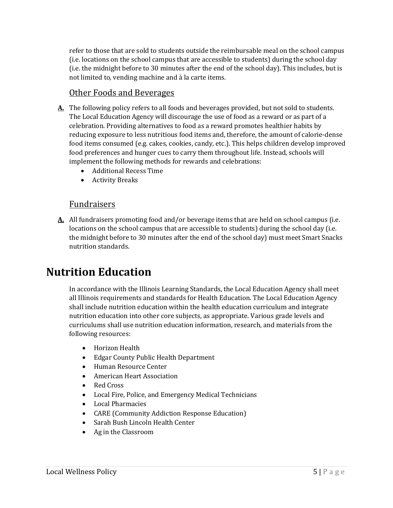refer to those that are sold to students outside the reimbursable meal on the school campus (i.e. locations on the school campus that are accessible to students) during the school day (i.e. the midnight before to 30 minutes after the end of the school day). This includes, but is not limited to, vending machine and à la carte items.

#### Other Foods and Beverages

- **A.** The following policy refers to all foods and beverages provided, but not sold to students. The Local Education Agency will discourage the use of food as a reward or as part of a celebration. Providing alternatives to food as a reward promotes healthier habits by reducing exposure to less nutritious food items and, therefore, the amount of calorie-dense food items consumed (e.g. cakes, cookies, candy, etc.). This helps children develop improved food preferences and hunger cues to carry them throughout life. Instead, schools will implement the following methods for rewards and celebrations:
	- Additional Recess Time
	- Activity Breaks

#### **Fundraisers**

**A.** All fundraisers promoting food and/or beverage items that are held on school campus (i.e. locations on the school campus that are accessible to students) during the school day (i.e. the midnight before to 30 minutes after the end of the school day) must meet Smart Snacks nutrition standards.

### **Nutrition Education**

In accordance with the Illinois Learning Standards, the Local Education Agency shall meet all Illinois requirements and standards for Health Education. The Local Education Agency shall include nutrition education within the health education curriculum and integrate nutrition education into other core subjects, as appropriate. Various grade levels and curriculums shall use nutrition education information, research, and materials from the following resources:

- Horizon Health
- Edgar County Public Health Department
- Human Resource Center
- American Heart Association
- Red Cross
- Local Fire, Police, and Emergency Medical Technicians
- Local Pharmacies
- CARE (Community Addiction Response Education)
- Sarah Bush Lincoln Health Center
- Ag in the Classroom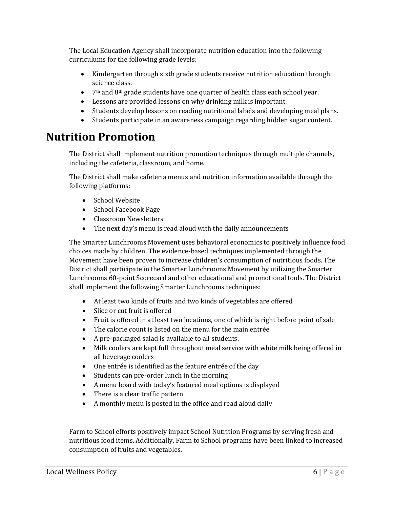The Local Education Agency shall incorporate nutrition education into the following curriculums for the following grade levels:

- Kindergarten through sixth grade students receive nutrition education through science class.
- 7<sup>th</sup> and 8<sup>th</sup> grade students have one quarter of health class each school year.
- Lessons are provided lessons on why drinking milk is important.
- Students develop lessons on reading nutritional labels and developing meal plans.
- Students participate in an awareness campaign regarding hidden sugar content.

### **Nutrition Promotion**

The District shall implement nutrition promotion techniques through multiple channels, including the cafeteria, classroom, and home.

The District shall make cafeteria menus and nutrition information available through the following platforms:

- School Website
- School Facebook Page
- Classroom Newsletters
- The next day's menu is read aloud with the daily announcements

The Smarter Lunchrooms Movement uses behavioral economics to positively influence food choices made by children. The evidence-based techniques implemented through the Movement have been proven to increase children's consumption of nutritious foods. The District shall participate in the Smarter Lunchrooms Movement by utilizing the Smarter Lunchrooms 60-point Scorecard and other educational and promotional tools. The District shall implement the following Smarter Lunchrooms techniques:

- At least two kinds of fruits and two kinds of vegetables are offered
- Slice or cut fruit is offered
- Fruit is offered in at least two locations, one of which is right before point of sale
- The calorie count is listed on the menu for the main entrée
- A pre-packaged salad is available to all students.
- Milk coolers are kept full throughout meal service with white milk being offered in all beverage coolers
- One entrée is identified as the feature entrée of the day
- Students can pre-order lunch in the morning
- A menu board with today's featured meal options is displayed
- There is a clear traffic pattern
- A monthly menu is posted in the office and read aloud daily

Farm to School efforts positively impact School Nutrition Programs by serving fresh and nutritious food items. Additionally, Farm to School programs have been linked to increased consumption of fruits and vegetables.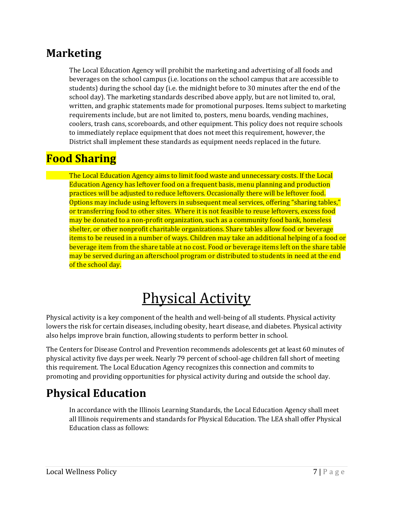### **Marketing**

The Local Education Agency will prohibit the marketing and advertising of all foods and beverages on the school campus (i.e. locations on the school campus that are accessible to students) during the school day (i.e. the midnight before to 30 minutes after the end of the school day). The marketing standards described above apply, but are not limited to, oral, written, and graphic statements made for promotional purposes. Items subject to marketing requirements include, but are not limited to, posters, menu boards, vending machines, coolers, trash cans, scoreboards, and other equipment. This policy does not require schools to immediately replace equipment that does not meet this requirement, however, the District shall implement these standards as equipment needs replaced in the future.

### **Food Sharing**

The Local Education Agency aims to limit food waste and unnecessary costs. If the Local Education Agency has leftover food on a frequent basis, menu planning and production practices will be adjusted to reduce leftovers. Occasionally there will be leftover food. Options may include using leftovers in subsequent meal services, offering "sharing tables," or transferring food to other sites. Where it is not feasible to reuse leftovers, excess food may be donated to a non-profit organization, such as a community food bank, homeless shelter, or other nonprofit charitable organizations. Share tables allow food or beverage items to be reused in a number of ways. Children may take an additional helping of a food or beverage item from the share table at no cost. Food or beverage items left on the share table may be served during an afterschool program or distributed to students in need at the end of the school day.

## Physical Activity

Physical activity is a key component of the health and well-being of all students. Physical activity lowers the risk for certain diseases, including obesity, heart disease, and diabetes. Physical activity also helps improve brain function, allowing students to perform better in school.

The Centers for Disease Control and Prevention recommends adolescents get at least 60 minutes of physical activity five days per week. Nearly 79 percent of school-age children fall short of meeting this requirement. The Local Education Agency recognizes this connection and commits to promoting and providing opportunities for physical activity during and outside the school day.

### **Physical Education**

In accordance with the Illinois Learning Standards, the Local Education Agency shall meet all Illinois requirements and standards for Physical Education. The LEA shall offer Physical Education class as follows: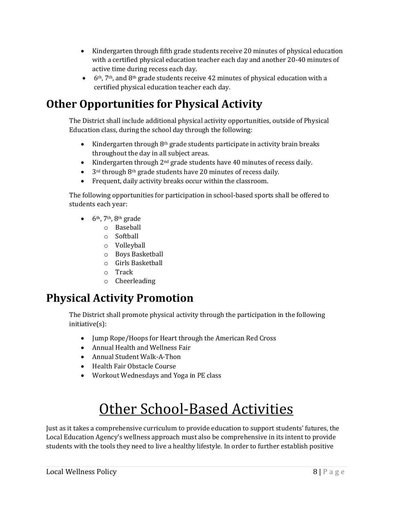- Kindergarten through fifth grade students receive 20 minutes of physical education with a certified physical education teacher each day and another 20-40 minutes of active time during recess each day.
- $\bullet$  6<sup>th</sup>, 7<sup>th</sup>, and 8<sup>th</sup> grade students receive 42 minutes of physical education with a certified physical education teacher each day.

### **Other Opportunities for Physical Activity**

The District shall include additional physical activity opportunities, outside of Physical Education class, during the school day through the following:

- Kindergarten through 8<sup>th</sup> grade students participate in activity brain breaks throughout the day in all subject areas.
- Kindergarten through 2<sup>nd</sup> grade students have 40 minutes of recess daily.
- $\bullet$  3<sup>rd</sup> through 8<sup>th</sup> grade students have 20 minutes of recess daily.
- Frequent, daily activity breaks occur within the classroom.

The following opportunities for participation in school-based sports shall be offered to students each year:

- $\bullet$  6<sup>th</sup>, 7<sup>th</sup>, 8<sup>th</sup> grade
	- o Baseball
	- o Softball
	- o Volleyball
	- o Boys Basketball
	- o Girls Basketball
	- o Track
	- o Cheerleading

### **Physical Activity Promotion**

The District shall promote physical activity through the participation in the following initiative(s):

- Jump Rope/Hoops for Heart through the American Red Cross
- Annual Health and Wellness Fair
- Annual Student Walk-A-Thon
- Health Fair Obstacle Course
- Workout Wednesdays and Yoga in PE class

## Other School-Based Activities

Just as it takes a comprehensive curriculum to provide education to support students' futures, the Local Education Agency's wellness approach must also be comprehensive in its intent to provide students with the tools they need to live a healthy lifestyle. In order to further establish positive